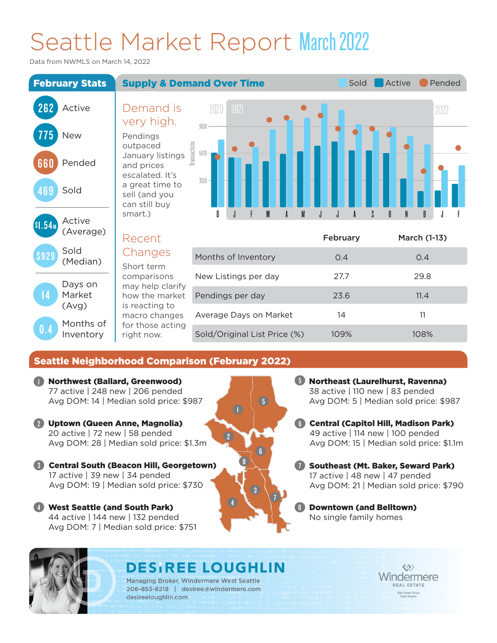# Seattle Market Report March 2022

Data from NWMLS on March 14, 2022



### Seattle Neighborhood Comparison (February 2022)

#### Northwest (Ballard, Greenwood) 1 77 active | 248 new | 206 pended Avg DOM: 14 | Median sold price: \$987

- Uptown (Queen Anne, Magnolia) 2 20 active | 72 new | 58 pended Avg DOM: 28 | Median sold price: \$1.3m
- 3 Central South (Beacon Hill, Georgetown) 17 active | 39 new | 34 pended Avg DOM: 19 | Median sold price: \$730
- 4 West Seattle (and South Park) 44 active | 144 new | 132 pended Avg DOM: 7 | Median sold price: \$751
- 2 3 6 7 8
	- **5** Northeast (Laurelhurst, Ravenna) 38 active | 110 new | 83 pended Avg DOM: 5 | Median sold price: \$987
	- **6** Central (Capitol Hill, Madison Park) 49 active | 114 new | 100 pended Avg DOM: 15 | Median sold price: \$1.1m
	- **Southeast (Mt. Baker, Seward Park)** 17 active | 48 new | 47 pended Avg DOM: 21 | Median sold price: \$790
	- **B** Downtown (and Belltown) No single family homes



## **DESIREE LOUGHLIN**

Managing Broker, Windermere West Seattle 206-853-8218 | desiree@windermere.com desireeloughlin.com

'indermere **EAL ESTATE** Vall Street Group<br>West Seattle